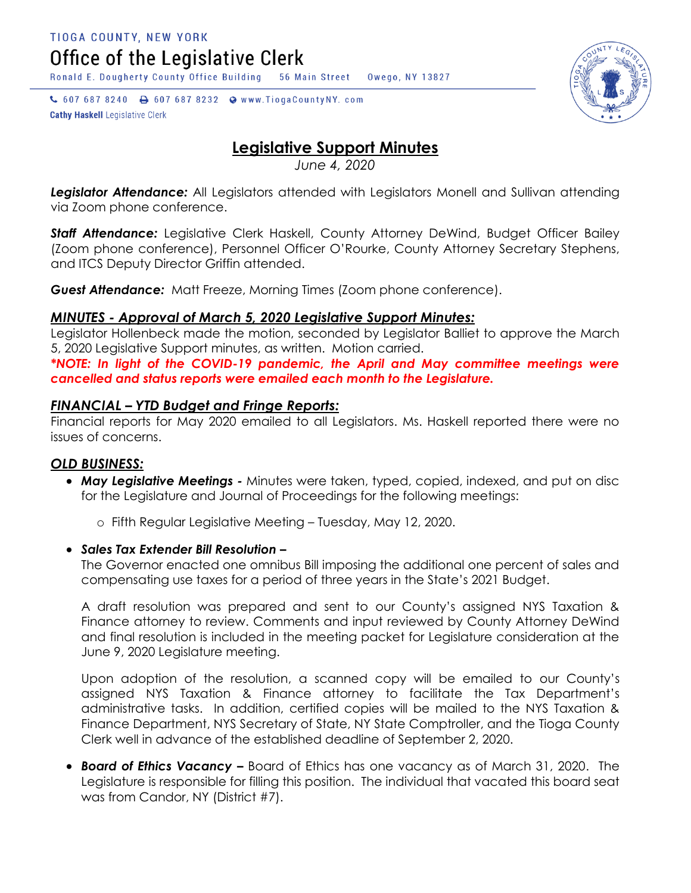Office of the Legislative Clerk

Ronald E. Dougherty County Office Building 56 Main Street Owego, NY 13827

↓ 607 687 8240 → 607 687 8232 → www.TiogaCountyNY.com **Cathy Haskell Legislative Clerk** 

# **Legislative Support Minutes**

*June 4, 2020*

Legislator Attendance: All Legislators attended with Legislators Monell and Sullivan attending via Zoom phone conference.

**Staff Attendance:** Legislative Clerk Haskell, County Attorney DeWind, Budget Officer Bailey (Zoom phone conference), Personnel Officer O'Rourke, County Attorney Secretary Stephens, and ITCS Deputy Director Griffin attended.

*Guest Attendance:* Matt Freeze, Morning Times (Zoom phone conference).

# *MINUTES - Approval of March 5, 2020 Legislative Support Minutes:*

Legislator Hollenbeck made the motion, seconded by Legislator Balliet to approve the March 5, 2020 Legislative Support minutes, as written. Motion carried.

*\*NOTE: In light of the COVID-19 pandemic, the April and May committee meetings were cancelled and status reports were emailed each month to the Legislature.* 

# *FINANCIAL – YTD Budget and Fringe Reports:*

Financial reports for May 2020 emailed to all Legislators. Ms. Haskell reported there were no issues of concerns.

# *OLD BUSINESS:*

 *May Legislative Meetings -* Minutes were taken, typed, copied, indexed, and put on disc for the Legislature and Journal of Proceedings for the following meetings:

o Fifth Regular Legislative Meeting – Tuesday, May 12, 2020.

#### *Sales Tax Extender Bill Resolution –*

The Governor enacted one omnibus Bill imposing the additional one percent of sales and compensating use taxes for a period of three years in the State's 2021 Budget.

A draft resolution was prepared and sent to our County's assigned NYS Taxation & Finance attorney to review. Comments and input reviewed by County Attorney DeWind and final resolution is included in the meeting packet for Legislature consideration at the June 9, 2020 Legislature meeting.

Upon adoption of the resolution, a scanned copy will be emailed to our County's assigned NYS Taxation & Finance attorney to facilitate the Tax Department's administrative tasks. In addition, certified copies will be mailed to the NYS Taxation & Finance Department, NYS Secretary of State, NY State Comptroller, and the Tioga County Clerk well in advance of the established deadline of September 2, 2020.

 *Board of Ethics Vacancy –* Board of Ethics has one vacancy as of March 31, 2020. The Legislature is responsible for filling this position. The individual that vacated this board seat was from Candor, NY (District #7).

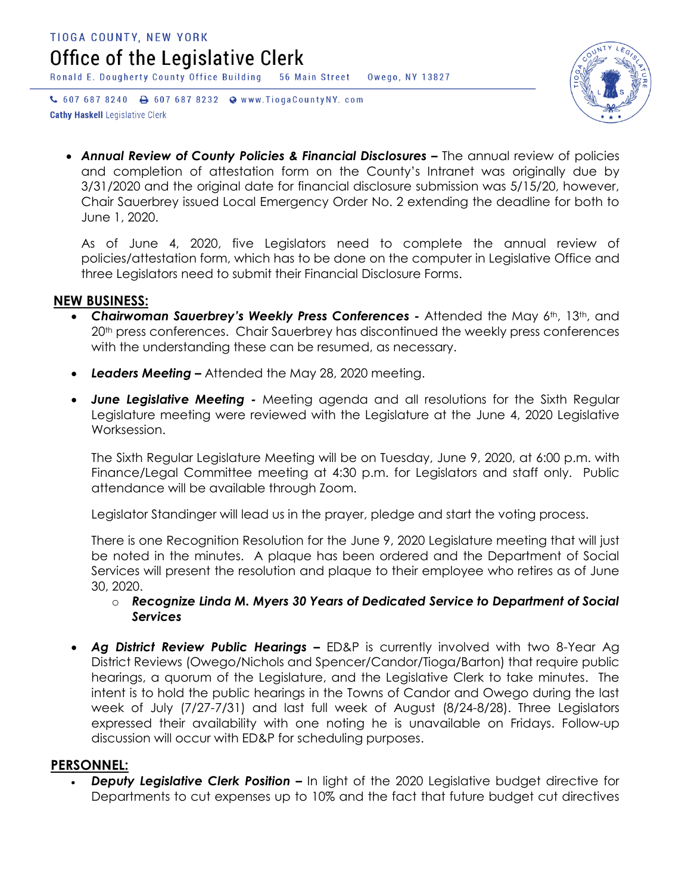Ronald E. Dougherty County Office Building 56 Main Street Owego, NY 13827

↓ 607 687 8240 → 607 687 8232 → www.TiogaCountyNY.com **Cathy Haskell Legislative Clerk** 



 *Annual Review of County Policies & Financial Disclosures –* The annual review of policies and completion of attestation form on the County's Intranet was originally due by 3/31/2020 and the original date for financial disclosure submission was 5/15/20, however, Chair Sauerbrey issued Local Emergency Order No. 2 extending the deadline for both to June 1, 2020.

As of June 4, 2020, five Legislators need to complete the annual review of policies/attestation form, which has to be done on the computer in Legislative Office and three Legislators need to submit their Financial Disclosure Forms.

#### **NEW BUSINESS:**

- Chairwoman Sauerbrey's Weekly Press Conferences Attended the May 6th, 13th, and 20<sup>th</sup> press conferences. Chair Sauerbrey has discontinued the weekly press conferences with the understanding these can be resumed, as necessary.
- *Leaders Meeting –* Attended the May 28, 2020 meeting.
- *June Legislative Meeting -* Meeting agenda and all resolutions for the Sixth Regular Legislature meeting were reviewed with the Legislature at the June 4, 2020 Legislative Worksession.

The Sixth Regular Legislature Meeting will be on Tuesday, June 9, 2020, at 6:00 p.m. with Finance/Legal Committee meeting at 4:30 p.m. for Legislators and staff only. Public attendance will be available through Zoom.

Legislator Standinger will lead us in the prayer, pledge and start the voting process.

There is one Recognition Resolution for the June 9, 2020 Legislature meeting that will just be noted in the minutes. A plaque has been ordered and the Department of Social Services will present the resolution and plaque to their employee who retires as of June 30, 2020.

o *Recognize Linda M. Myers 30 Years of Dedicated Service to Department of Social Services* 

 *Ag District Review Public Hearings –* ED&P is currently involved with two 8-Year Ag District Reviews (Owego/Nichols and Spencer/Candor/Tioga/Barton) that require public hearings, a quorum of the Legislature, and the Legislative Clerk to take minutes. The intent is to hold the public hearings in the Towns of Candor and Owego during the last week of July (7/27-7/31) and last full week of August (8/24-8/28). Three Legislators expressed their availability with one noting he is unavailable on Fridays. Follow-up discussion will occur with ED&P for scheduling purposes.

#### **PERSONNEL:**

 *Deputy Legislative Clerk Position –* In light of the 2020 Legislative budget directive for Departments to cut expenses up to 10% and the fact that future budget cut directives